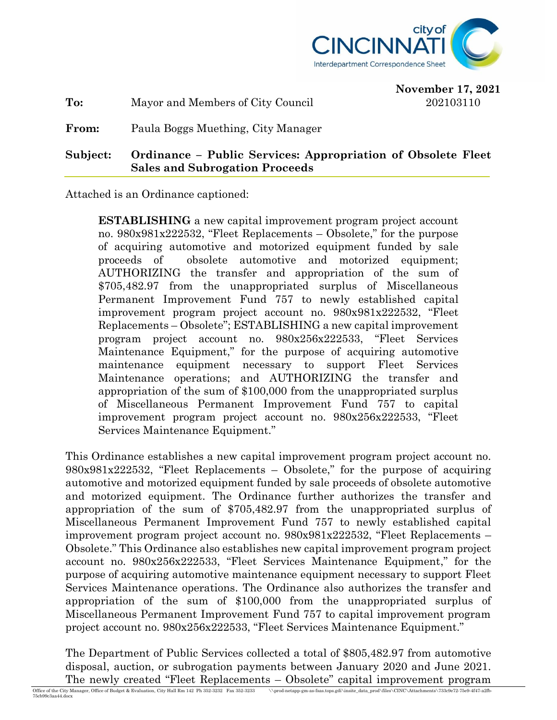

**November 17, 2021**

**To:** Mayor and Members of City Council 202103110

**From:** Paula Boggs Muething, City Manager

**Subject: Ordinance – Public Services: Appropriation of Obsolete Fleet Sales and Subrogation Proceeds**

Attached is an Ordinance captioned:

**ESTABLISHING** a new capital improvement program project account no. 980x981x222532, "Fleet Replacements – Obsolete," for the purpose of acquiring automotive and motorized equipment funded by sale proceeds of obsolete automotive and motorized equipment; AUTHORIZING the transfer and appropriation of the sum of \$705,482.97 from the unappropriated surplus of Miscellaneous Permanent Improvement Fund 757 to newly established capital improvement program project account no. 980x981x222532, "Fleet Replacements – Obsolete"; ESTABLISHING a new capital improvement program project account no. 980x256x222533, "Fleet Services Maintenance Equipment," for the purpose of acquiring automotive maintenance equipment necessary to support Fleet Services Maintenance operations; and AUTHORIZING the transfer and appropriation of the sum of \$100,000 from the unappropriated surplus of Miscellaneous Permanent Improvement Fund 757 to capital improvement program project account no. 980x256x222533, "Fleet Services Maintenance Equipment."

This Ordinance establishes a new capital improvement program project account no. 980x981x222532, "Fleet Replacements – Obsolete," for the purpose of acquiring automotive and motorized equipment funded by sale proceeds of obsolete automotive and motorized equipment. The Ordinance further authorizes the transfer and appropriation of the sum of \$705,482.97 from the unappropriated surplus of Miscellaneous Permanent Improvement Fund 757 to newly established capital improvement program project account no. 980x981x222532, "Fleet Replacements – Obsolete." This Ordinance also establishes new capital improvement program project account no. 980x256x222533, "Fleet Services Maintenance Equipment," for the purpose of acquiring automotive maintenance equipment necessary to support Fleet Services Maintenance operations. The Ordinance also authorizes the transfer and appropriation of the sum of \$100,000 from the unappropriated surplus of Miscellaneous Permanent Improvement Fund 757 to capital improvement program project account no. 980x256x222533, "Fleet Services Maintenance Equipment."

The Department of Public Services collected a total of \$805,482.97 from automotive disposal, auction, or subrogation payments between January 2020 and June 2021. The newly created "Fleet Replacements – Obsolete" capital improvement program